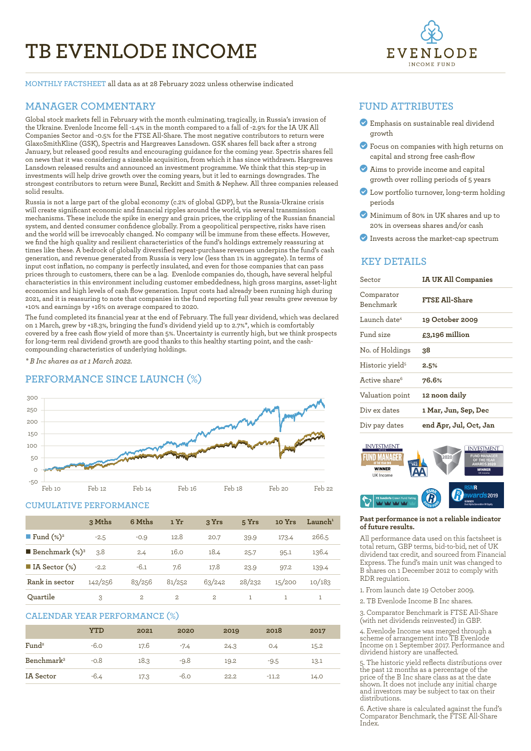# **TB EVENLODE INCOME**



**MONTHLY FACTSHEET** all data as at 28 February 2022 unless otherwise indicated

### **MANAGER COMMENTARY**

Global stock markets fell in February with the month culminating, tragically, in Russia's invasion of the Ukraine. Evenlode Income fell -1.4% in the month compared to a fall of -2.9% for the IA UK All Companies Sector and -0.5% for the FTSE All-Share. The most negative contributors to return were GlaxoSmithKline (GSK), Spectris and Hargreaves Lansdown. GSK shares fell back after a strong January, but released good results and encouraging guidance for the coming year. Spectris shares fell on news that it was considering a sizeable acquisition, from which it has since withdrawn. Hargreaves Lansdown released results and announced an investment programme. We think that this step-up in investments will help drive growth over the coming years, but it led to earnings downgrades. The strongest contributors to return were Bunzl, Reckitt and Smith & Nephew. All three companies released solid results.

Russia is not a large part of the global economy (c.2% of global GDP), but the Russia-Ukraine crisis will create significant economic and financial ripples around the world, via several transmission mechanisms. These include the spike in energy and grain prices, the crippling of the Russian financial system, and dented consumer confidence globally. From a geopolitical perspective, risks have risen and the world will be irrevocably changed. No company will be immune from these effects. However, we find the high quality and resilient characteristics of the fund's holdings extremely reassuring at times like these. A bedrock of globally diversified repeat-purchase revenues underpins the fund's cash generation, and revenue generated from Russia is very low (less than 1% in aggregate). In terms of input cost inflation, no company is perfectly insulated, and even for those companies that can pass prices through to customers, there can be a lag. Evenlode companies do, though, have several helpful characteristics in this environment including customer embeddedness, high gross margins, asset-light economics and high levels of cash flow generation. Input costs had already been running high during 2021, and it is reassuring to note that companies in the fund reporting full year results grew revenue by +10% and earnings by +16% on average compared to 2020.

The fund completed its financial year at the end of February. The full year dividend, which was declared on 1 March, grew by +18.3%, bringing the fund's dividend yield up to 2.7%\*, which is comfortably covered by a free cash flow yield of more than 5%. Uncertainty is currently high, but we think prospects for long-term real dividend growth are good thanks to this healthy starting point, and the cashcompounding characteristics of underlying holdings. 

*\* B Inc shares as at 1 March 2022.*

# **PERFORMANCE SINCE LAUNCH (%)**



#### **CUMULATIVE PERFORMANCE**

|                                 | 3 Mths  | 6 Mths       | 1 Yr   | 3 Yrs         | 5 Yrs  | 10 Yrs | $L$ aunch <sup>1</sup> |
|---------------------------------|---------|--------------|--------|---------------|--------|--------|------------------------|
| <b>Fund</b> $(\%)^2$            | $-2.5$  | $-0.9$       | 12.8   | 20.7          | 39.9   | 173.4  | 266.5                  |
| <b>Benchmark</b> $(\%)^3$       | 3.8     | 2.4          | 16.0   | 18.4          | 25.7   | 95.1   | 136.4                  |
| $\blacksquare$ IA Sector $(\%)$ | $-2.2$  | $-6.1$       | 7.6    | 17.8          | 23.9   | 97.2   | 139.4                  |
| Rank in sector                  | 142/256 | 83/256       | 81/252 | 63/242        | 28/232 | 15/200 | 10/183                 |
| Ouartile                        | 3       | $\mathbf{2}$ | 2      | $\mathcal{L}$ |        |        |                        |

#### **CALENDAR YEAR PERFORMANCE (%)**

|                        | YTD    | 2021 | 2020   | 2019 | 2018    | 2017 |
|------------------------|--------|------|--------|------|---------|------|
| Fund <sup>2</sup>      | $-6.0$ | 17.6 | $-7.4$ | 24.3 | O.4     | 15.2 |
| Benchmark <sup>3</sup> | $-0.8$ | 18.3 | $-9.8$ | 19.2 | $-9.5$  | 13.1 |
| IA Sector              | $-6.4$ | 17.3 | $-6.0$ | 22.2 | $-11.2$ | 14.0 |

#### **FUND ATTRIBUTES**

- ? Emphasis on sustainable real dividend growth
- ? Focus on companies with high returns on capital and strong free cash-flow
- ? Aims to provide income and capital growth over rolling periods of 5 years
- ? Low portfolio turnover, long-term holding periods
- ? Minimum of 80% in UK shares and up to 20% in overseas shares and/or cash
- ? Invests across the market-cap spectrum

#### **KEY DETAILS**

| Sector                      | <b>IA UK All Companies</b> |  |  |
|-----------------------------|----------------------------|--|--|
| Comparator<br>Benchmark     | <b>FTSE All-Share</b>      |  |  |
| Launch date <sup>4</sup>    | 19 October 2009            |  |  |
| Fund size                   | $£3,196$ million           |  |  |
| No. of Holdings             | 38.                        |  |  |
| Historic yield <sup>5</sup> | 2.5%                       |  |  |
| Active share <sup>6</sup>   | 76.6%                      |  |  |
| Valuation point             | 12 noon daily              |  |  |
| Div ex dates                | 1 Mar, Jun, Sep, Dec       |  |  |
| Div pay dates               | end Apr, Jul, Oct, Jan     |  |  |



#### **Past performance is not a reliable indicator of future results.**

All performance data used on this factsheet is total return, GBP terms, bid-to-bid, net of UK dividend tax credit, and sourced from Financial Express. The fund's main unit was changed to B shares on 1 December 2012 to comply with RDR regulation.

1. From launch date 19 October 2009.

2. TB Evenlode Income B Inc shares.

3. Comparator Benchmark is FTSE All-Share (with net dividends reinvested) in GBP.

4. Evenlode Income was merged through a scheme of arrangement into TB Evenlode Income on 1 September 2017. Performance and dividend history are unaffected.

5. The historic yield reflects distributions over the past 12 months as a percentage of the price of the B Inc share class as at the date shown. It does not include any initial charge and investors may be subject to tax on their distributions.

6. Active share is calculated against the fund's Comparator Benchmark, the FTSE All-Share Index.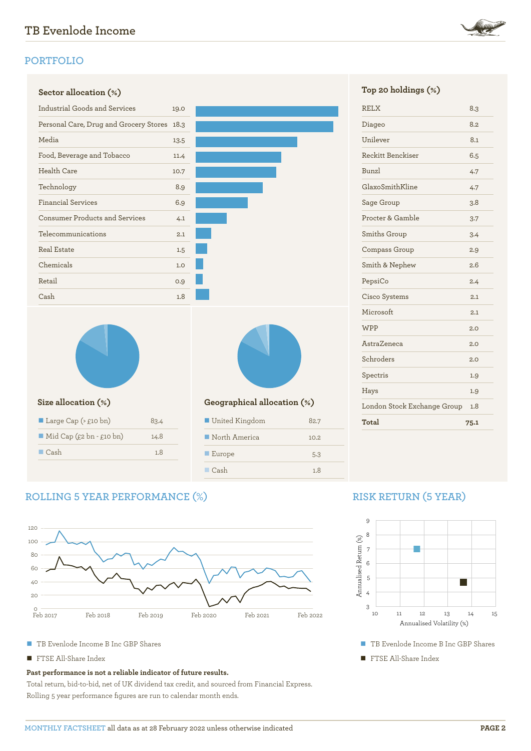

# **PORTFOLIO**

| Sector allocation (%)                       |      |                             |      | Top 20 holdings $(*)$       |      |
|---------------------------------------------|------|-----------------------------|------|-----------------------------|------|
| Industrial Goods and Services               | 19.0 |                             |      | <b>RELX</b>                 | 8.3  |
| Personal Care, Drug and Grocery Stores 18.3 |      |                             |      | Diageo                      | 8.2  |
| Media                                       | 13.5 |                             |      | Unilever                    | 8.1  |
| Food, Beverage and Tobacco                  | 11.4 |                             |      | Reckitt Benckiser           | 6.5  |
| Health Care                                 | 10.7 |                             |      | Bunzl                       | 4.7  |
| Technology                                  | 8.9  |                             |      | GlaxoSmithKline             | 4.7  |
| <b>Financial Services</b><br>6.9            |      |                             |      | Sage Group                  | 3.8  |
| <b>Consumer Products and Services</b>       | 4.1  |                             |      | Procter & Gamble            | 3.7  |
| Telecommunications                          | 2.1  |                             |      | Smiths Group                | 3.4  |
| <b>Real Estate</b>                          | 1.5  |                             |      | Compass Group               | 2.9  |
| Chemicals                                   | 1.0  |                             |      | Smith & Nephew              | 2.6  |
| Retail                                      | 0.9  |                             |      | PepsiCo                     | 2.4  |
| Cash                                        | 1.8  |                             |      | Cisco Systems               | 2.1  |
|                                             |      |                             |      | Microsoft                   | 2.1  |
|                                             |      |                             |      | <b>WPP</b>                  | 2.C  |
|                                             |      |                             |      | AstraZeneca                 | 2.C  |
|                                             |      |                             |      | Schroders                   | 2.C  |
|                                             |      |                             |      | Spectris                    | 1.9  |
|                                             |      |                             |      | Hays                        | 1.9  |
| Size allocation (%)                         |      | Geographical allocation (%) |      | London Stock Exchange Group | 1.8  |
| Large Cap $(\geq$ £10 bn)                   | 83.4 | United Kingdom              | 82.7 | Total                       | 75.1 |
| $\blacksquare$ Mid Cap (£2 bn - £10 bn)     | 14.8 | North America               | 10.2 |                             |      |
| $\Box$ Cash                                 | 1.8  | Europe                      | 5.3  |                             |      |

### **Sector allocation (%) Top 20 holdings (%)**

| <b>RELX</b>                 | 8.3  |
|-----------------------------|------|
| Diageo                      | 8.2  |
| Unilever                    | 8.1  |
| Reckitt Benckiser           | 6.5  |
| Bunzl                       | 4.7  |
| GlaxoSmithKline             | 4.7  |
| Sage Group                  | 3.8  |
| Procter & Gamble            | 3.7  |
| Smiths Group                | 3.4  |
| Compass Group               | 2.9  |
| Smith & Nephew              | 2.6  |
| PepsiCo                     | 2.4  |
| Cisco Systems               | 2.1  |
| Microsoft                   | 2.1  |
| <b>WPP</b>                  | 2.0  |
| AstraZeneca                 | 2.0  |
| Schroders                   | 2.0  |
| Spectris                    | 1.9  |
| Hays                        | 1.9  |
| London Stock Exchange Group | 1.8  |
| Total                       | 75.1 |

# **ROLLING 5 YEAR PERFORMANCE (%)**



n Cash 1.8

- TB Evenlode Income B Inc GBP Shares
- FTSE All-Share Index

#### **Past performance is not a reliable indicator of future results.**

Total return, bid-to-bid, net of UK dividend tax credit, and sourced from Financial Express. Rolling 5 year performance figures are run to calendar month ends.

# **RISK RETURN (5 YEAR)**



- TB Evenlode Income B Inc GBP Shares
- **TE FTSE All-Share Index**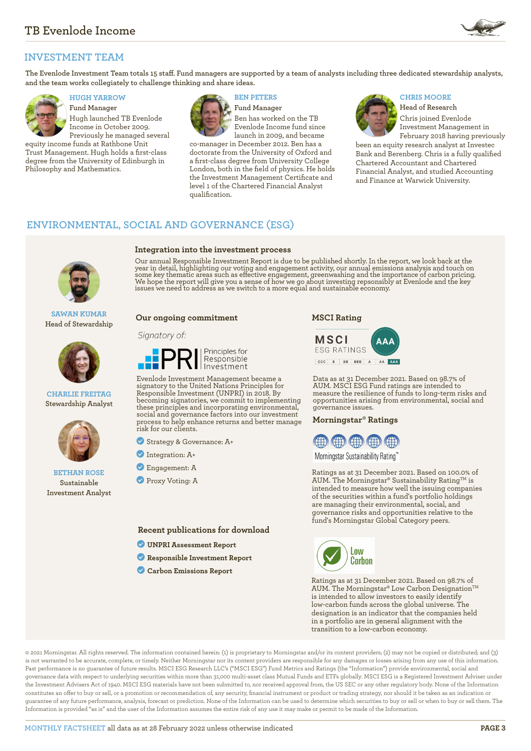

# **INVESTMENT TEAM**

**The Evenlode Investment Team totals 15 staff. Fund managers are supported by a team of analysts including three dedicated stewardship analysts, and the team works collegiately to challenge thinking and share ideas.**



**Fund Manager** Hugh launched TB Evenlode Income in October 2009. Previously he managed several

equity income funds at Rathbone Unit Trust Management. Hugh holds a first-class degree from the University of Edinburgh in Philosophy and Mathematics.



**Fund Manager** Ben has worked on the TB Evenlode Income fund since launch in 2009, and became

co-manager in December 2012. Ben has a doctorate from the University of Oxford and a first-class degree from University College London, both in the field of physics. He holds the Investment Management Certificate and level 1 of the Chartered Financial Analyst qualification.

#### **HUGH YARROW BEN PETERS CHRIS MOORE**



**Head of Research** Chris joined Evenlode Investment Management in February 2018 having previously

been an equity research analyst at Investec Bank and Berenberg. Chris is a fully qualified Chartered Accountant and Chartered Financial Analyst, and studied Accounting and Finance at Warwick University.

## **ENVIRONMENTAL, SOCIAL AND GOVERNANCE (ESG)**



**SAWAN KUMAR Head of Stewardship**



**CHARLIE FREITAG Stewardship Analyst**



#### **BETHAN ROSE Sustainable Investment Analyst**

**Integration into the investment process**

Our annual Responsible Investment Report is due to be published shortly. In the report, we look back at the year in detail, highlighting our voting and engagement activity, our annual emissions analysis and touch on some key thematic areas such as effective engagement, greenwashing and the importance of carbon pricing.<br>We hope the report will give you a sense of how we go about investing repsonsibly at Evenlode and the key<br>issues we n

#### **Our ongoing commitment**

#### Signatory of:



Evenlode Investment Management became a signatory to the United Nations Principles for Responsible Investment (UNPRI) in 2018. By becoming signatories, we commit to implementing these principles and incorporating environmental, social and governance factors into our investment process to help enhance returns and better manage risk for our clients.

? Strategy & Governance: A+

- ? Integration: A+
- ? Engagement: A
- **Proxy Voting: A**

**Recent publications for download**

- ? **[UNPRI Assessment Report](https://evenlodeinvestment.com/resources/stewardship-assets/2020-Assessment-Report.pdf)**
- ? **[Responsible Investment Report](https://evenlodeinvestment.com/resources/stewardship-assets/Evenlode-Annual-RI-Report-2020-Final.pdf)**
- ? **[Carbon Emissions Report](https://evenlodeinvestment.com/resources/stewardship-assets/Evenlode-Portfolio-Carbon-Emissions-Report-2021.pdf)**

**MSCI Rating**



Data as at 31 December 2021. Based on 98.7% of AUM. MSCI ESG Fund ratings are intended to measure the resilience of funds to long-term risks and opportunities arising from environmental, social and governance issues.

#### **Morningstar® Ratings**



Morningstar Sustainability Rating™

Ratings as at 31 December 2021. Based on 100.0% of AUM. The Morningstar® Sustainability Rating™ is intended to measure how well the issuing companies of the securities within a fund's portfolio holdings are managing their environmental, social, and governance risks and opportunities relative to the fund's Morningstar Global Category peers.



Ratings as at 31 December 2021. Based on 98.7% of AUM. The Morningstar® Low Carbon Designation™ is intended to allow investors to easily identify low-carbon funds across the global universe. The designation is an indicator that the companies held in a portfolio are in general alignment with the transition to a low-carbon economy.

© 2021 Morningstar. All rights reserved. The information contained herein: (1) is proprietary to Morningstar and/or its content providers; (2) may not be copied or distributed; and (3) is not warranted to be accurate, complete, or timely. Neither Morningstar nor its content providers are responsible for any damages or losses arising from any use of this information. Past performance is no guarantee of future results. MSCI ESG Research LLC's ("MSCI ESG") Fund Metrics and Ratings (the "Information") provide environmental, social and governance data with respect to underlying securities within more than 31,000 multi-asset class Mutual Funds and ETFs globally. MSCI ESG is a Registered Investment Adviser under the Investment Advisers Act of 1940. MSCI ESG materials have not been submitted to, nor received approval from, the US SEC or any other regulatory body. None of the Information constitutes an offer to buy or sell, or a promotion or recommendation of, any security, financial instrument or product or trading strategy, nor should it be taken as an indication or guarantee of any future performance, analysis, forecast or prediction. None of the Information can be used to determine which securities to buy or sell or when to buy or sell them. The Information is provided "as is" and the user of the Information assumes the entire risk of any use it may make or permit to be made of the Information.